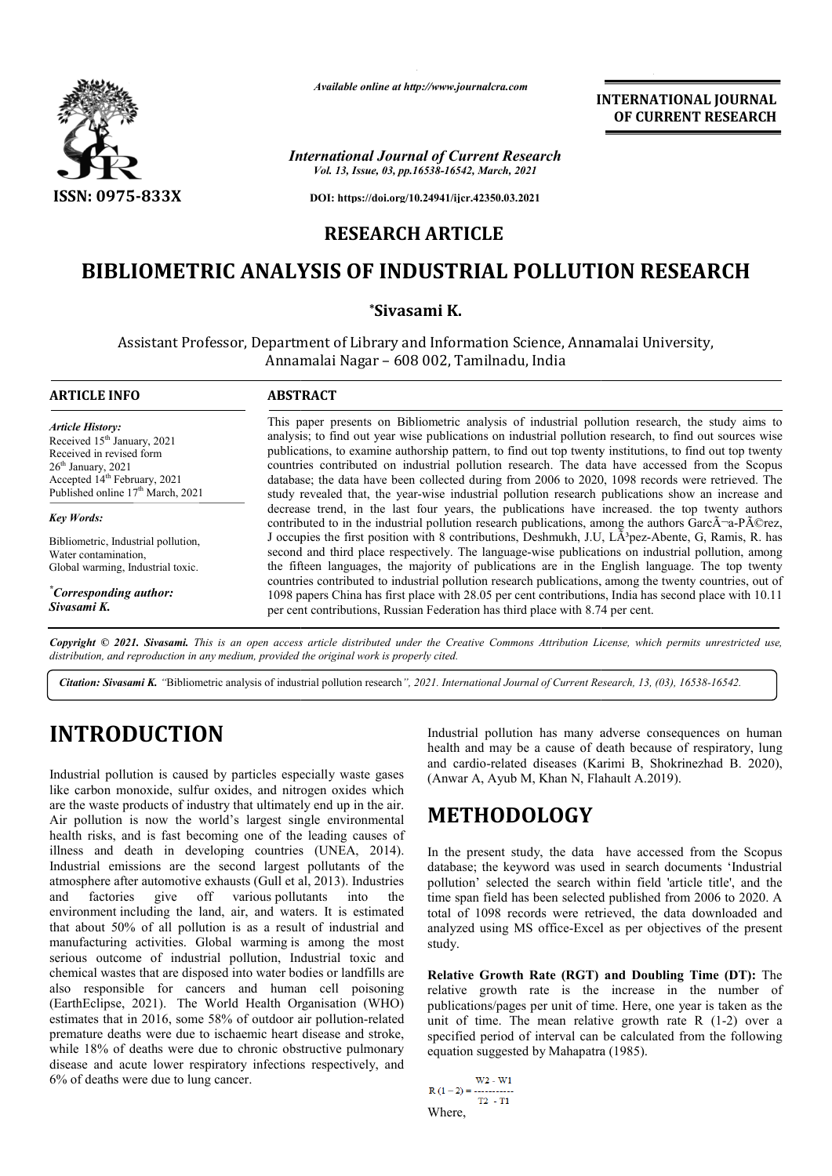

*Available online at http://www.journalcra.com*

**INTERNATIONAL JOURNAL OF CURRENT RESEARCH**

*International Journal of Current Research Vol. 13, Issue, 03, pp.16538-16542, March, 2021*

**DOI: https://doi.org/10.24941/ijcr.42350.03.2021**

### **RESEARCH ARTICLE**

## **BIBLIOMETRIC ANALYSIS OF INDUSTRIAL POLLUTION RESEARCH**

### **\*Sivasami K.**

Assistant Professor, Department of Library and Information Science, Annamalai University, Annamalai Nagar – 608 002, Tamilnadu, India

| <b>ARTICLE INFO</b>                                                                                                                                                                                                 | <b>ABSTRACT</b>                                                                                                                                                                                                                                                                                                                                                                                                                                                                                                                                                                                                                      |
|---------------------------------------------------------------------------------------------------------------------------------------------------------------------------------------------------------------------|--------------------------------------------------------------------------------------------------------------------------------------------------------------------------------------------------------------------------------------------------------------------------------------------------------------------------------------------------------------------------------------------------------------------------------------------------------------------------------------------------------------------------------------------------------------------------------------------------------------------------------------|
| <b>Article History:</b><br>Received 15 <sup>th</sup> January, 2021<br>Received in revised form<br>$26th$ January, 2021<br>Accepted 14 <sup>th</sup> February, 2021<br>Published online 17 <sup>th</sup> March, 2021 | This paper presents on Bibliometric analysis of industrial pollution research, the study aims to<br>analysis; to find out year wise publications on industrial pollution research, to find out sources wise<br>publications, to examine authorship pattern, to find out top twenty institutions, to find out top twenty<br>countries contributed on industrial pollution research. The data have accessed from the Scopus<br>database; the data have been collected during from 2006 to 2020, 1098 records were retrieved. The<br>study revealed that, the year-wise industrial pollution research publications show an increase and |
| <b>Key Words:</b>                                                                                                                                                                                                   | decrease trend, in the last four years, the publications have increased, the top twenty authors<br>contributed to in the industrial pollution research publications, among the authors Garc $\tilde{A}$ -a-P $\tilde{A}$ ©rez,                                                                                                                                                                                                                                                                                                                                                                                                       |
| Bibliometric, Industrial pollution,<br>Water contamination,<br>Global warming, Industrial toxic.                                                                                                                    | J occupies the first position with 8 contributions, Deshmukh, J.U, LA <sup>3</sup> pez-Abente, G, Ramis, R. has<br>second and third place respectively. The language-wise publications on industrial pollution, among<br>the fifteen languages, the majority of publications are in the English language. The top twenty                                                                                                                                                                                                                                                                                                             |
| "Corresponding author:<br>Sivasami K.                                                                                                                                                                               | countries contributed to industrial pollution research publications, among the twenty countries, out of<br>1098 papers China has first place with 28.05 per cent contributions, India has second place with 10.11<br>per cent contributions, Russian Federation has third place with 8.74 per cent.                                                                                                                                                                                                                                                                                                                                  |

Copyright © 2021. Sivasami. This is an open access article distributed under the Creative Commons Attribution License, which permits unrestricted use, *distribution, and reproduction in any medium, provided the original work is properly cited.*

Citation: Sivasami K. "Bibliometric analysis of industrial pollution research", 2021. International Journal of Current Research, 13, (03), 16538-16542.

# **INTRODUCTION**

Industrial pollution is caused by particles especially waste gases like carbon monoxide, sulfur oxides, and nitrogen oxides which are the waste products of industry that ultimately end up in the air. Air pollution is now the world's largest single environmental health risks, and is fast becoming one of the leading causes of illness and death in developing countries (UNEA, 2014). Industrial emissions are the second largest pollutants of the atmosphere after automotive exhausts (Gull et al, 2013). Industries and factories give off various pollutants into the environment including the land, air, and waters. It is estimated that about 50% of all pollution is as a result of industrial and manufacturing activities. Global warming is among the most serious outcome of industrial pollution, Industrial toxic and chemical wastes that are disposed into water bodies or landfills are also responsible for cancers and human cell poisoning (EarthEclipse, 2021). The World Health Organisation (WHO) estimates that in 2016, some 58% of outdoor air pollution-related premature deaths were due to ischaemic heart disease and stroke, while 18% of deaths were due to chronic obstructive pulmonary disease and acute lower respiratory infections respectively, and 6% of deaths were due to lung cancer.

Industrial pollution has many adverse consequences on human health and may be a cause of death because of respiratory, lung and cardio-related diseases (Karimi B, Shokrinezhad B. 2020), (Anwar A, Ayub M, Khan N, Flahault A.2019).

# **METHODOLOGY**

In the present study, the data have accessed from the Scopus database; the keyword was used in search documents 'Industrial pollution' selected the search within field 'article title', and the time span field has been selected published from 2006 to 2020. A total of 1098 records were retrieved, the data downloaded and total of 1098 records were retrieved, the data downloaded and analyzed using MS office-Excel as per objectives of the present study. may be a cause of death because of respiratory, lung<br>-related diseases (Karimi B, Shokrinezhad B. 2020),<br>Ayub M, Khan N, Flahault A.2019).<br>**[ODOLOGY**<br>sent study, the data have accessed from the Scopus<br>he keyword was used i

**Relative Growth Rate (RGT) and Doubling Time (DT):** The relative growth rate is the increase in the number of publications/pages per unit of time. Here, one year is taken as the publications/pages per unit of time. Here, one year is taken as the unit of time. The mean relative growth rate  $R(1-2)$  over a specified period of interval can be calculated from the following equation suggested by Mahapatra (1985).

```
W2 - W1T2 - T1Where,
```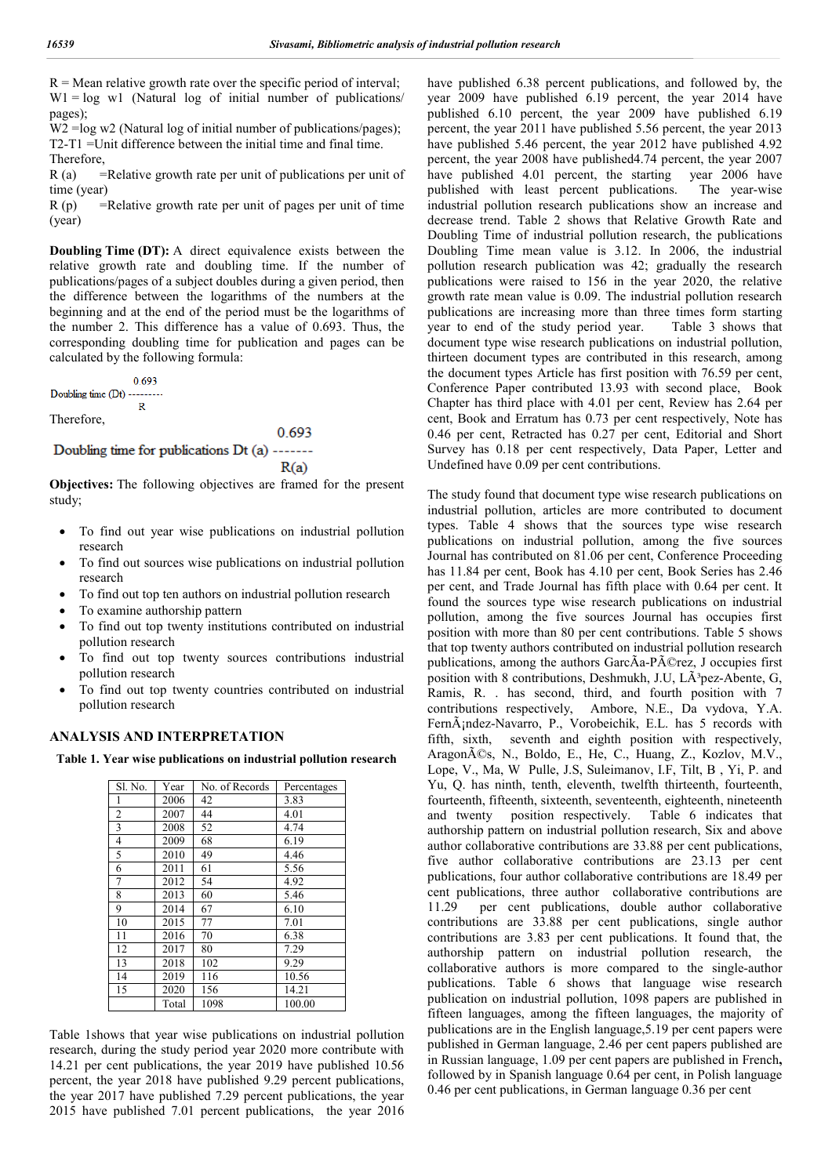$R =$  Mean relative growth rate over the specific period of interval;  $W1 = log \t w1$  (Natural log of initial number of publications/ pages);

W2 =log w2 (Natural log of initial number of publications/pages); T2-T1 =Unit difference between the initial time and final time. Therefore,

 $R$  (a) = Relative growth rate per unit of publications per unit of time (year)

 $R(p)$  = Relative growth rate per unit of pages per unit of time (year)

**Doubling Time (DT):** A direct equivalence exists between the relative growth rate and doubling time. If the number of publications/pages of a subject doubles during a given period, then the difference between the logarithms of the numbers at the beginning and at the end of the period must be the logarithms of the number 2. This difference has a value of 0.693. Thus, the corresponding doubling time for publication and pages can be calculated by the following formula:

0.693 Doubling time (Dt) --------- $\mathbb{R}$ 

Therefore,

0.693

Doubling time for publications Dt (a) ------- $R(a)$ 

**Objectives:** The following objectives are framed for the present study;

- To find out year wise publications on industrial pollution research
- To find out sources wise publications on industrial pollution research
- To find out top ten authors on industrial pollution research
- To examine authorship pattern
- To find out top twenty institutions contributed on industrial pollution research
- To find out top twenty sources contributions industrial pollution research
- To find out top twenty countries contributed on industrial pollution research

#### **ANALYSIS AND INTERPRETATION**

**Table 1. Year wise publications on industrial pollution research**

| Sl. No. | Year  | No. of Records | Percentages |
|---------|-------|----------------|-------------|
| 1       | 2006  | 42             | 3.83        |
| 2       | 2007  | 44             | 4.01        |
| 3       | 2008  | 52             | 4.74        |
| 4       | 2009  | 68             | 6.19        |
| 5       | 2010  | 49             | 4.46        |
| 6       | 2011  | 61             | 5.56        |
| 7       | 2012  | 54             | 4.92        |
| 8       | 2013  | 60             | 5.46        |
| 9       | 2014  | 67             | 6.10        |
| 10      | 2015  | 77             | 7.01        |
| 11      | 2016  | 70             | 6.38        |
| 12      | 2017  | 80             | 7.29        |
| 13      | 2018  | 102            | 9.29        |
| 14      | 2019  | 116            | 10.56       |
| 15      | 2020  | 156            | 14.21       |
|         | Total | 1098           | 100.00      |

Table 1shows that year wise publications on industrial pollution research, during the study period year 2020 more contribute with 14.21 per cent publications, the year 2019 have published 10.56 percent, the year 2018 have published 9.29 percent publications, the year 2017 have published 7.29 percent publications, the year 2015 have published 7.01 percent publications, the year 2016

have published 6.38 percent publications, and followed by, the year 2009 have published 6.19 percent, the year 2014 have published 6.10 percent, the year 2009 have published 6.19 percent, the year 2011 have published 5.56 percent, the year 2013 have published 5.46 percent, the year 2012 have published 4.92 percent, the year 2008 have published4.74 percent, the year 2007 have published 4.01 percent, the starting year 2006 have published with least percent publications. The year-wise industrial pollution research publications show an increase and decrease trend. Table 2 shows that Relative Growth Rate and Doubling Time of industrial pollution research, the publications Doubling Time mean value is 3.12. In 2006, the industrial pollution research publication was 42; gradually the research publications were raised to 156 in the year 2020, the relative growth rate mean value is 0.09. The industrial pollution research publications are increasing more than three times form starting year to end of the study period year.Table 3 shows that document type wise research publications on industrial pollution, thirteen document types are contributed in this research, among the document types Article has first position with 76.59 per cent, Conference Paper contributed 13.93 with second place, Book Chapter has third place with 4.01 per cent, Review has 2.64 per cent, Book and Erratum has 0.73 per cent respectively, Note has 0.46 per cent, Retracted has 0.27 per cent, Editorial and Short Survey has 0.18 per cent respectively, Data Paper, Letter and Undefined have 0.09 per cent contributions.

The study found that document type wise research publications on industrial pollution, articles are more contributed to document types. Table 4 shows that the sources type wise research publications on industrial pollution, among the five sources Journal has contributed on 81.06 per cent, Conference Proceeding has 11.84 per cent, Book has 4.10 per cent, Book Series has 2.46 per cent, and Trade Journal has fifth place with 0.64 per cent. It found the sources type wise research publications on industrial pollution, among the five sources Journal has occupies first position with more than 80 per cent contributions. Table 5 shows that top twenty authors contributed on industrial pollution research publications, among the authors  $Garc\tilde{A}a-P\tilde{A}C$ rez, J occupies first position with 8 contributions, Deshmukh, J.U,  $\tilde{A}^3$ pez-Abente, G, Ramis, R. . has second, third, and fourth position with 7 contributions respectively, Ambore, N.E., Da vydova, Y.A. FernÁ<sub>i</sub>ndez-Navarro, P., Vorobeichik, E.L. has 5 records with fifth, sixth, seventh and eighth position with respectively, Aragonés, N., Boldo, E., He, C., Huang, Z., Kozlov, M.V., Lope, V., Ma, W Pulle, J.S, Suleimanov, I.F, Tilt, B , Yi, P. and Yu, Q. has ninth, tenth, eleventh, twelfth thirteenth, fourteenth, fourteenth, fifteenth, sixteenth, seventeenth, eighteenth, nineteenth and twenty position respectively. Table 6 indicates that authorship pattern on industrial pollution research, Six and above author collaborative contributions are 33.88 per cent publications, five author collaborative contributions are 23.13 per cent publications, four author collaborative contributions are 18.49 per cent publications, three author collaborative contributions are 11.29 per cent publications, double author collaborative contributions are 33.88 per cent publications, single author contributions are 3.83 per cent publications. It found that, the authorship pattern on industrial pollution research, the collaborative authors is more compared to the single-author publications. Table 6 shows that language wise research publication on industrial pollution, 1098 papers are published in fifteen languages, among the fifteen languages, the majority of publications are in the English language,5.19 per cent papers were published in German language, 2.46 per cent papers published are in Russian language, 1.09 per cent papers are published in French**,**  followed by in Spanish language 0.64 per cent, in Polish language 0.46 per cent publications, in German language 0.36 per cent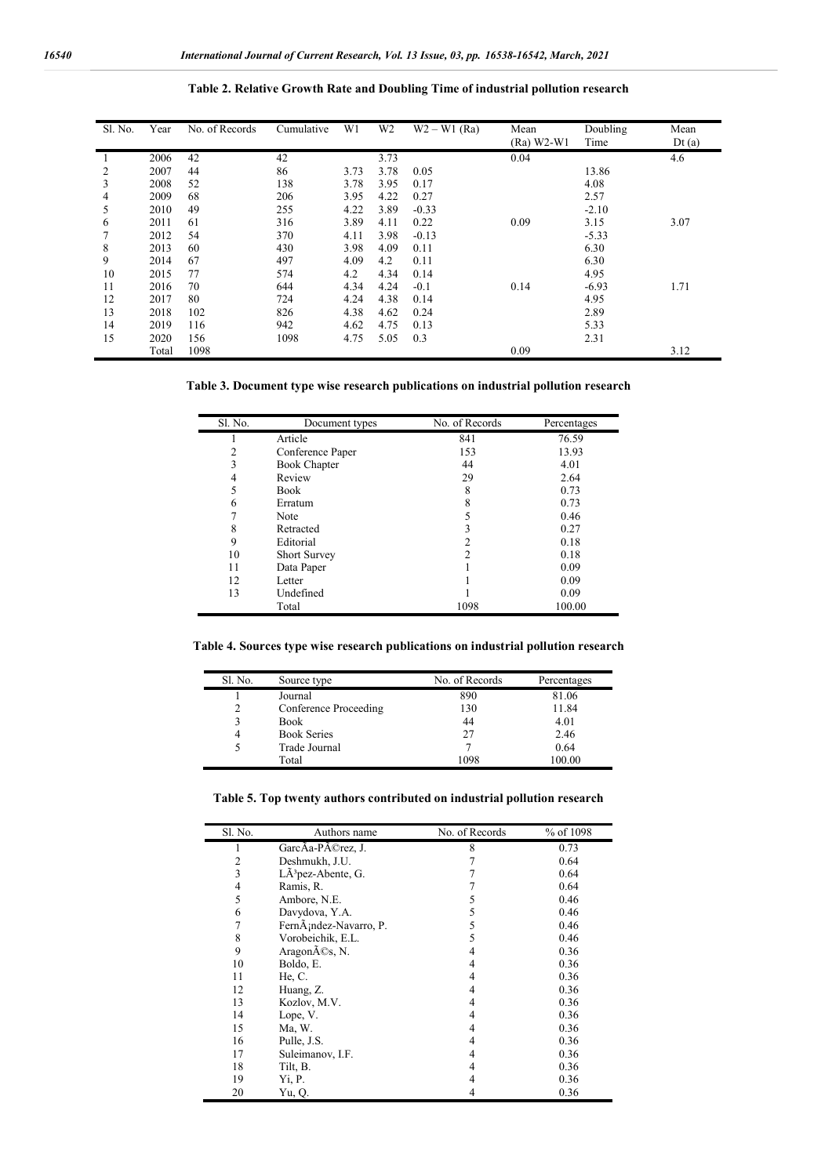| Sl. No. | Year  | No. of Records | Cumulative | W1   | W <sub>2</sub> | $W2 - W1$ (Ra) | Mean<br>$(Ra)$ W2-W1 | Doubling<br>Time | Mean<br>Dt(a) |
|---------|-------|----------------|------------|------|----------------|----------------|----------------------|------------------|---------------|
|         | 2006  | 42             | 42         |      | 3.73           |                | 0.04                 |                  | 4.6           |
| 2       | 2007  | 44             | 86         | 3.73 | 3.78           | 0.05           |                      | 13.86            |               |
| 3       | 2008  | 52             | 138        | 3.78 | 3.95           | 0.17           |                      | 4.08             |               |
| 4       | 2009  | 68             | 206        | 3.95 | 4.22           | 0.27           |                      | 2.57             |               |
| 5       | 2010  | 49             | 255        | 4.22 | 3.89           | $-0.33$        |                      | $-2.10$          |               |
| 6       | 2011  | 61             | 316        | 3.89 | 4.11           | 0.22           | 0.09                 | 3.15             | 3.07          |
|         | 2012  | 54             | 370        | 4.11 | 3.98           | $-0.13$        |                      | $-5.33$          |               |
| 8       | 2013  | 60             | 430        | 3.98 | 4.09           | 0.11           |                      | 6.30             |               |
| 9       | 2014  | 67             | 497        | 4.09 | 4.2            | 0.11           |                      | 6.30             |               |
| 10      | 2015  | 77             | 574        | 4.2  | 4.34           | 0.14           |                      | 4.95             |               |
| 11      | 2016  | 70             | 644        | 4.34 | 4.24           | $-0.1$         | 0.14                 | $-6.93$          | 1.71          |
| 12      | 2017  | 80             | 724        | 4.24 | 4.38           | 0.14           |                      | 4.95             |               |
| 13      | 2018  | 102            | 826        | 4.38 | 4.62           | 0.24           |                      | 2.89             |               |
| 14      | 2019  | 116            | 942        | 4.62 | 4.75           | 0.13           |                      | 5.33             |               |
| 15      | 2020  | 156            | 1098       | 4.75 | 5.05           | 0.3            |                      | 2.31             |               |
|         | Total | 1098           |            |      |                |                | 0.09                 |                  | 3.12          |

**Table 2. Relative Growth Rate and Doubling Time of industrial pollution research**

**Table 3. Document type wise research publications on industrial pollution research**

| Sl. No. | Document types      | No. of Records | Percentages |
|---------|---------------------|----------------|-------------|
|         | Article             | 841            | 76.59       |
| 2       | Conference Paper    | 153            | 13.93       |
| 3       | <b>Book Chapter</b> | 44             | 4.01        |
| 4       | Review              | 29             | 2.64        |
| 5       | <b>Book</b>         | 8              | 0.73        |
| 6       | Erratum             | 8              | 0.73        |
| ┑       | Note                |                | 0.46        |
| 8       | Retracted           |                | 0.27        |
| 9       | Editorial           |                | 0.18        |
| 10      | <b>Short Survey</b> | າ              | 0.18        |
| 11      | Data Paper          |                | 0.09        |
| 12      | Letter              |                | 0.09        |
| 13      | Undefined           |                | 0.09        |
|         | Total               | 1098           | 100.00      |

**Table 4. Sources type wise research publications on industrial pollution research**

| <b>S1.</b> No. | Source type           | No. of Records | Percentages |
|----------------|-----------------------|----------------|-------------|
|                | Journal               | 890            | 81.06       |
| 2              | Conference Proceeding | 130            | 11.84       |
| 3              | <b>Book</b>           | 44             | 4.01        |
| 4              | <b>Book Series</b>    | 27             | 2.46        |
| 5              | Trade Journal         |                | 0.64        |
|                | Total                 | 1098           | 100.00      |

**Table 5. Top twenty authors contributed on industrial pollution research**

| Sl. No. | Authors name                   | No. of Records | % of 1098 |
|---------|--------------------------------|----------------|-----------|
|         | GarcAa-PA©rez, J.              | 8              | 0.73      |
| 2       | Deshmukh, J.U.                 |                | 0.64      |
| 3       | LÃ <sup>3</sup> pez-Abente, G. |                | 0.64      |
| 4       | Ramis, R.                      |                | 0.64      |
| 5       | Ambore, N.E.                   | C.             | 0.46      |
| 6       | Davydova, Y.A.                 | 5              | 0.46      |
| 7       | FernÃ; ndez-Navarro, P.        | 5              | 0.46      |
| 8       | Vorobeichik, E.L.              | 5              | 0.46      |
| 9       | Aragonés, N.                   | 4              | 0.36      |
| 10      | Boldo, E.                      | 4              | 0.36      |
| 11      | He, C.                         | 4              | 0.36      |
| 12      | Huang, Z.                      | 4              | 0.36      |
| 13      | Kozlov, M.V.                   | 4              | 0.36      |
| 14      | Lope, V.                       | 4              | 0.36      |
| 15      | Ma, W.                         | 4              | 0.36      |
| 16      | Pulle, J.S.                    | 4              | 0.36      |
| 17      | Suleimanov, I.F.               | 4              | 0.36      |
| 18      | Tilt, B.                       | 4              | 0.36      |
| 19      | Yi, P.                         | 4              | 0.36      |
| 20      | Yu, O.                         | 4              | 0.36      |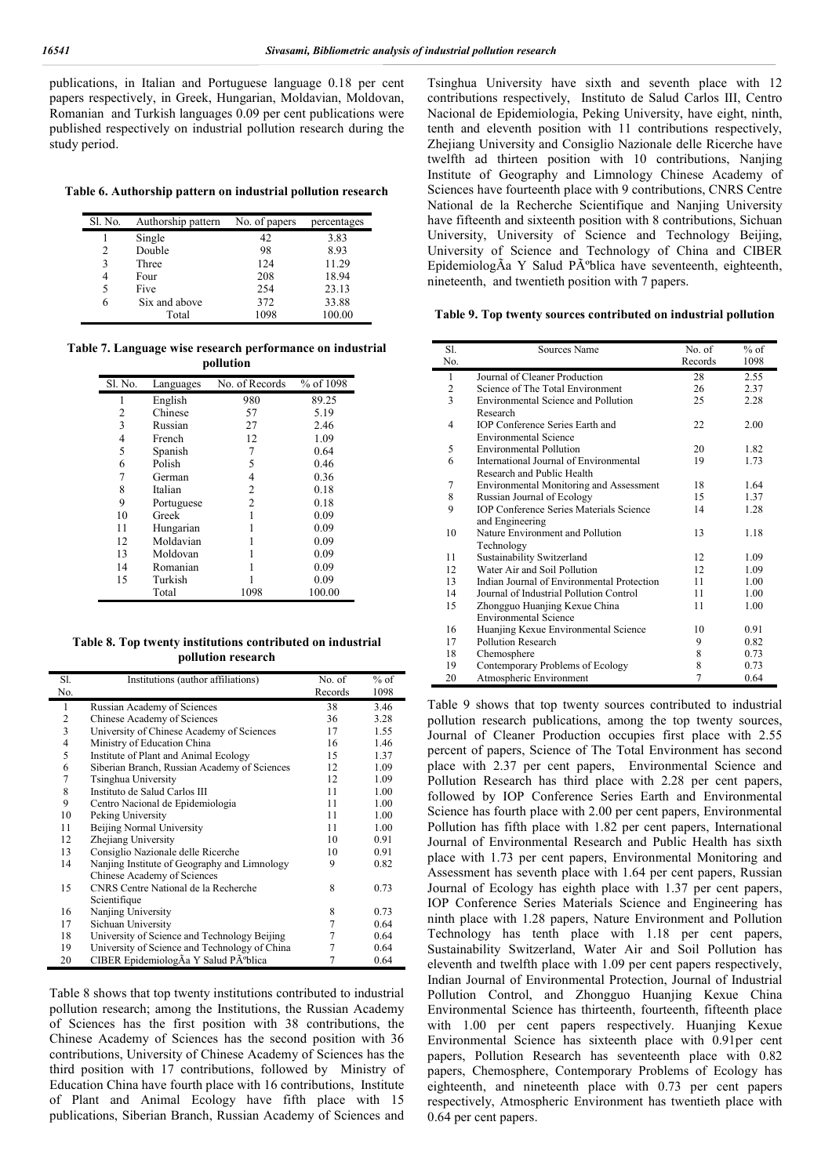$\blacksquare$ 

publications, in Italian and Portuguese language 0.18 per cent papers respectively, in Greek, Hungarian, Moldavian, Moldovan, Romanian and Turkish languages 0.09 per cent publications were published respectively on industrial pollution research during the study period.

**Table 6. Authorship pattern on industrial pollution research**

| Sl. No. | Authorship pattern | No. of papers | percentages |
|---------|--------------------|---------------|-------------|
|         | Single             | 42            | 3.83        |
| 2       | Double             | 98            | 8.93        |
| 3       | Three              | 124           | 11.29       |
| 4       | Four               | 208           | 18.94       |
| 5       | Five               | 254           | 23.13       |
| 6       | Six and above      | 372           | 33.88       |
|         | Total              | 1098          | 100.00      |

**Table 7. Language wise research performance on industrial pollution**

| Sl. No. | Languages  | No. of Records | % of 1098 |
|---------|------------|----------------|-----------|
| 1       | English    | 980            | 89.25     |
| 2       | Chinese    | 57             | 5.19      |
| 3       | Russian    | 27             | 2.46      |
| 4       | French     | 12             | 1.09      |
| 5       | Spanish    |                | 0.64      |
| 6       | Polish     | 5              | 0.46      |
| 7       | German     | 4              | 0.36      |
| 8       | Italian    | 2              | 0.18      |
| 9       | Portuguese | 2              | 0.18      |
| 10      | Greek      |                | 0.09      |
| 11      | Hungarian  |                | 0.09      |
| 12      | Moldavian  |                | 0.09      |
| 13      | Moldovan   |                | 0.09      |
| 14      | Romanian   |                | 0.09      |
| 15      | Turkish    |                | 0.09      |
|         | Total      | 1098           | 100.00    |

**Table 8. Top twenty institutions contributed on industrial pollution research**

| Sl. | Institutions (author affiliations)            | No. of  | $%$ of |
|-----|-----------------------------------------------|---------|--------|
| No. |                                               | Records | 1098   |
| 1   | Russian Academy of Sciences                   | 38      | 3.46   |
| 2   | Chinese Academy of Sciences                   | 36      | 3.28   |
| 3   | University of Chinese Academy of Sciences     | 17      | 1.55   |
| 4   | Ministry of Education China                   | 16      | 1.46   |
| 5   | Institute of Plant and Animal Ecology         | 15      | 1.37   |
| 6   | Siberian Branch, Russian Academy of Sciences  | 12      | 1.09   |
| 7   | Tsinghua University                           | 12.     | 1.09   |
| 8   | Instituto de Salud Carlos III                 | 11      | 1.00   |
| 9   | Centro Nacional de Epidemiologia              | 11      | 1.00   |
| 10  | Peking University                             | 11      | 1.00   |
| 11  | Beijing Normal University                     | 11      | 1.00   |
| 12  | Zhejiang University                           | 10      | 0.91   |
| 13  | Consiglio Nazionale delle Ricerche            | 10      | 0.91   |
| 14  | Nanjing Institute of Geography and Limnology  | 9       | 0.82   |
|     | Chinese Academy of Sciences                   |         |        |
| 15  | CNRS Centre National de la Recherche          | 8       | 0.73   |
|     | Scientifique                                  |         |        |
| 16  | Nanjing University                            | 8       | 0.73   |
| 17  | Sichuan University                            | 7       | 0.64   |
| 18  | University of Science and Technology Beijing  | 7       | 0.64   |
| 19  | University of Science and Technology of China | 7       | 0.64   |
| 20  | CIBER EpidemiologÃa Y Salud Pºblica           | 7       | 0.64   |

Table 8 shows that top twenty institutions contributed to industrial pollution research; among the Institutions, the Russian Academy of Sciences has the first position with 38 contributions, the Chinese Academy of Sciences has the second position with 36 contributions, University of Chinese Academy of Sciences has the third position with 17 contributions, followed by Ministry of Education China have fourth place with 16 contributions, Institute of Plant and Animal Ecology have fifth place with 15 publications, Siberian Branch, Russian Academy of Sciences and

Tsinghua University have sixth and seventh place with 12 contributions respectively, Instituto de Salud Carlos III, Centro Nacional de Epidemiologia, Peking University, have eight, ninth, tenth and eleventh position with 11 contributions respectively, Zhejiang University and Consiglio Nazionale delle Ricerche have twelfth ad thirteen position with 10 contributions, Nanjing Institute of Geography and Limnology Chinese Academy of Sciences have fourteenth place with 9 contributions, CNRS Centre National de la Recherche Scientifique and Nanjing University have fifteenth and sixteenth position with 8 contributions, Sichuan University, University of Science and Technology Beijing, University of Science and Technology of China and CIBER EpidemiologÃa Y Salud Pública have seventeenth, eighteenth, nineteenth, and twentieth position with 7 papers.

**Table 9. Top twenty sources contributed on industrial pollution**

| SI.            | Sources Name                                   | No. of         | $%$ of |
|----------------|------------------------------------------------|----------------|--------|
| No.            |                                                | Records        | 1098   |
| $\mathbf{1}$   | Journal of Cleaner Production                  | 28             | 2.55   |
| $\overline{2}$ | Science of The Total Environment               | 26             | 2.37   |
| 3              | Environmental Science and Pollution            | 25             | 2.28   |
|                | Research                                       |                |        |
| $\overline{4}$ | IOP Conference Series Earth and                | 22             | 2.00   |
|                | <b>Environmental Science</b>                   |                |        |
| 5              | <b>Environmental Pollution</b>                 | 20             | 1.82   |
| 6              | International Journal of Environmental         | 19             | 1.73   |
|                | Research and Public Health                     |                |        |
| 7              | <b>Environmental Monitoring and Assessment</b> | 18             | 1.64   |
| 8              | Russian Journal of Ecology                     | 15             | 1.37   |
| 9              | <b>IOP Conference Series Materials Science</b> | 14             | 1.28   |
|                | and Engineering                                |                |        |
| 10             | Nature Environment and Pollution               | 13             | 1.18   |
|                | Technology                                     |                |        |
| 11             | Sustainability Switzerland                     | 12             | 1.09   |
| 12             | Water Air and Soil Pollution                   | 12             | 1.09   |
| 13             | Indian Journal of Environmental Protection     | 11             | 1.00   |
| 14             | Journal of Industrial Pollution Control        | 11             | 1.00   |
| 15             | Zhongguo Huanjing Kexue China                  | 11             | 1.00   |
|                | <b>Environmental Science</b>                   |                |        |
| 16             | Huanjing Kexue Environmental Science           | 10             | 0.91   |
| 17             | Pollution Research                             | 9              | 0.82   |
| 18             | Chemosphere                                    | 8              | 0.73   |
| 19             | Contemporary Problems of Ecology               | 8              | 0.73   |
| 20             | Atmospheric Environment                        | $\overline{7}$ | 0.64   |

Table 9 shows that top twenty sources contributed to industrial pollution research publications, among the top twenty sources, Journal of Cleaner Production occupies first place with 2.55 percent of papers, Science of The Total Environment has second place with 2.37 per cent papers, Environmental Science and Pollution Research has third place with 2.28 per cent papers, followed by IOP Conference Series Earth and Environmental Science has fourth place with 2.00 per cent papers, Environmental Pollution has fifth place with 1.82 per cent papers, International Journal of Environmental Research and Public Health has sixth place with 1.73 per cent papers, Environmental Monitoring and Assessment has seventh place with 1.64 per cent papers, Russian Journal of Ecology has eighth place with 1.37 per cent papers, IOP Conference Series Materials Science and Engineering has ninth place with 1.28 papers, Nature Environment and Pollution Technology has tenth place with 1.18 per cent papers, Sustainability Switzerland, Water Air and Soil Pollution has eleventh and twelfth place with 1.09 per cent papers respectively, Indian Journal of Environmental Protection, Journal of Industrial Pollution Control, and Zhongguo Huanjing Kexue China Environmental Science has thirteenth, fourteenth, fifteenth place with 1.00 per cent papers respectively. Huanjing Kexue Environmental Science has sixteenth place with 0.91per cent papers, Pollution Research has seventeenth place with 0.82 papers, Chemosphere, Contemporary Problems of Ecology has eighteenth, and nineteenth place with 0.73 per cent papers respectively, Atmospheric Environment has twentieth place with 0.64 per cent papers.